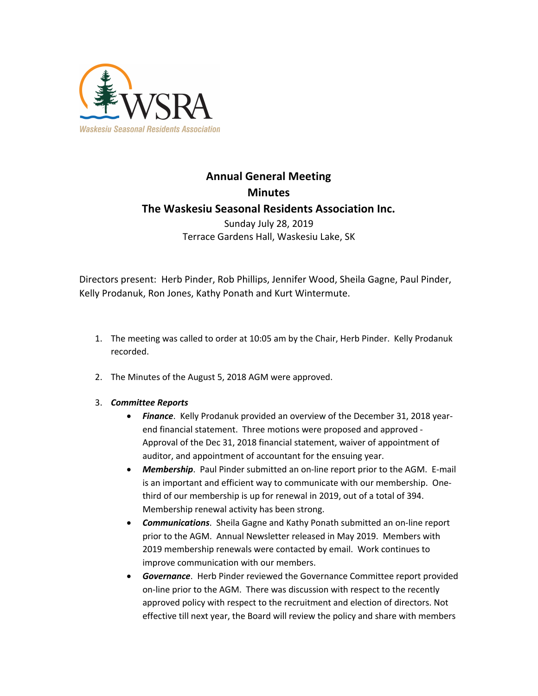

# **Annual General Meeting Minutes The Waskesiu Seasonal Residents Association Inc.** Sunday July 28, 2019

Terrace Gardens Hall, Waskesiu Lake, SK

Directors present: Herb Pinder, Rob Phillips, Jennifer Wood, Sheila Gagne, Paul Pinder, Kelly Prodanuk, Ron Jones, Kathy Ponath and Kurt Wintermute.

- 1. The meeting was called to order at 10:05 am by the Chair, Herb Pinder. Kelly Prodanuk recorded.
- 2. The Minutes of the August 5, 2018 AGM were approved.

## 3. *Committee Reports*

- *Finance*. Kelly Prodanuk provided an overview of the December 31, 2018 yearend financial statement. Three motions were proposed and approved - Approval of the Dec 31, 2018 financial statement, waiver of appointment of auditor, and appointment of accountant for the ensuing year.
- *Membership*. Paul Pinder submitted an on-line report prior to the AGM. E-mail is an important and efficient way to communicate with our membership. Onethird of our membership is up for renewal in 2019, out of a total of 394. Membership renewal activity has been strong.
- *Communications*. Sheila Gagne and Kathy Ponath submitted an on-line report prior to the AGM. Annual Newsletter released in May 2019. Members with 2019 membership renewals were contacted by email. Work continues to improve communication with our members.
- *Governance*. Herb Pinder reviewed the Governance Committee report provided on-line prior to the AGM. There was discussion with respect to the recently approved policy with respect to the recruitment and election of directors. Not effective till next year, the Board will review the policy and share with members